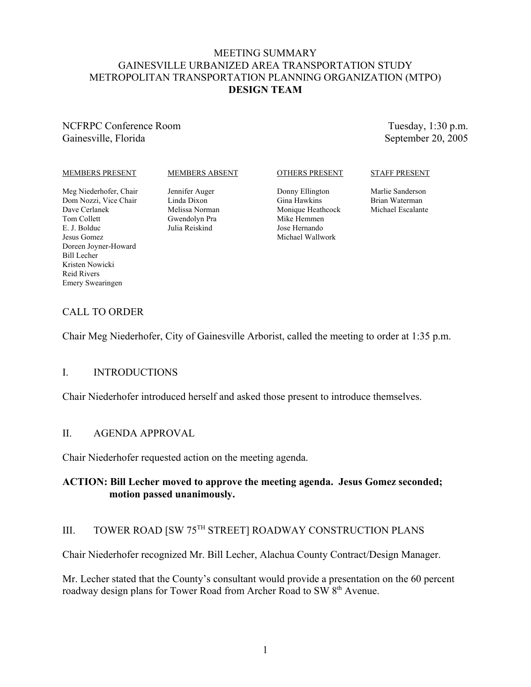# MEETING SUMMARY GAINESVILLE URBANIZED AREA TRANSPORTATION STUDY METROPOLITAN TRANSPORTATION PLANNING ORGANIZATION (MTPO) **DESIGN TEAM**

NCFRPC Conference Room Gainesville, Florida

Tuesday, 1:30 p.m. September 20, 2005

### MEMBERS PRESENT

### MEMBERS ABSENT

Meg Niederhofer, Chair Dom Nozzi, Vice Chair Dave Cerlanek Tom Collett E. J. Bolduc Jesus Gomez Doreen Joyner-Howard Bill Lecher Kristen Nowicki Reid Rivers Emery Swearingen

Jennifer Auger Linda Dixon Melissa Norman Gwendolyn Pra Julia Reiskind

OTHERS PRESENT

Donny Ellington Gina Hawkins Monique Heathcock Mike Hemmen Jose Hernando Michael Wallwork

### STAFF PRESENT

Marlie Sanderson Brian Waterman Michael Escalante

## CALL TO ORDER

Chair Meg Niederhofer, City of Gainesville Arborist, called the meeting to order at 1:35 p.m.

### I. INTRODUCTIONS

Chair Niederhofer introduced herself and asked those present to introduce themselves.

### II. AGENDA APPROVAL

Chair Niederhofer requested action on the meeting agenda.

## **ACTION: Bill Lecher moved to approve the meeting agenda. Jesus Gomez seconded; motion passed unanimously.**

# III. TOWER ROAD [SW 75TH STREET] ROADWAY CONSTRUCTION PLANS

Chair Niederhofer recognized Mr. Bill Lecher, Alachua County Contract/Design Manager.

Mr. Lecher stated that the County's consultant would provide a presentation on the 60 percent roadway design plans for Tower Road from Archer Road to SW 8<sup>th</sup> Avenue.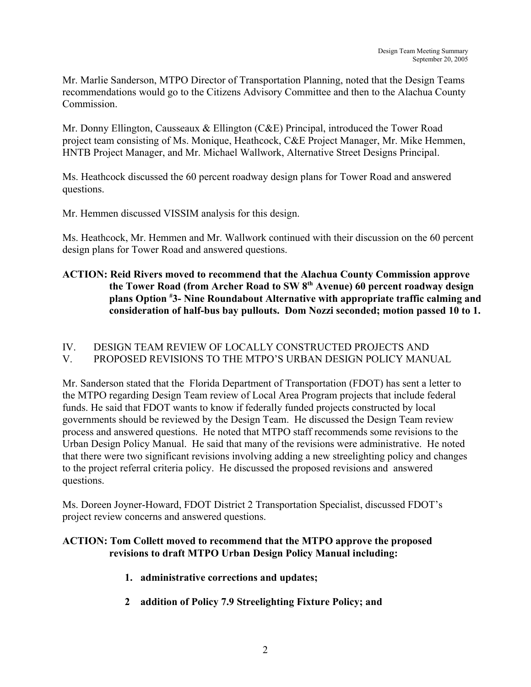Mr. Marlie Sanderson, MTPO Director of Transportation Planning, noted that the Design Teams recommendations would go to the Citizens Advisory Committee and then to the Alachua County Commission.

Mr. Donny Ellington, Causseaux & Ellington (C&E) Principal, introduced the Tower Road project team consisting of Ms. Monique, Heathcock, C&E Project Manager, Mr. Mike Hemmen, HNTB Project Manager, and Mr. Michael Wallwork, Alternative Street Designs Principal.

Ms. Heathcock discussed the 60 percent roadway design plans for Tower Road and answered questions.

Mr. Hemmen discussed VISSIM analysis for this design.

Ms. Heathcock, Mr. Hemmen and Mr. Wallwork continued with their discussion on the 60 percent design plans for Tower Road and answered questions.

# **ACTION: Reid Rivers moved to recommend that the Alachua County Commission approve the Tower Road (from Archer Road to SW 8th Avenue) 60 percent roadway design plans Option # 3- Nine Roundabout Alternative with appropriate traffic calming and consideration of half-bus bay pullouts. Dom Nozzi seconded; motion passed 10 to 1.**

## IV. DESIGN TEAM REVIEW OF LOCALLY CONSTRUCTED PROJECTS AND V. PROPOSED REVISIONS TO THE MTPO'S URBAN DESIGN POLICY MANUAL

Mr. Sanderson stated that the Florida Department of Transportation (FDOT) has sent a letter to the MTPO regarding Design Team review of Local Area Program projects that include federal funds. He said that FDOT wants to know if federally funded projects constructed by local governments should be reviewed by the Design Team. He discussed the Design Team review process and answered questions. He noted that MTPO staff recommends some revisions to the Urban Design Policy Manual. He said that many of the revisions were administrative. He noted that there were two significant revisions involving adding a new streelighting policy and changes to the project referral criteria policy. He discussed the proposed revisions and answered questions.

Ms. Doreen Joyner-Howard, FDOT District 2 Transportation Specialist, discussed FDOT's project review concerns and answered questions.

# **ACTION: Tom Collett moved to recommend that the MTPO approve the proposed revisions to draft MTPO Urban Design Policy Manual including:**

- **1. administrative corrections and updates;**
- **2 addition of Policy 7.9 Streelighting Fixture Policy; and**